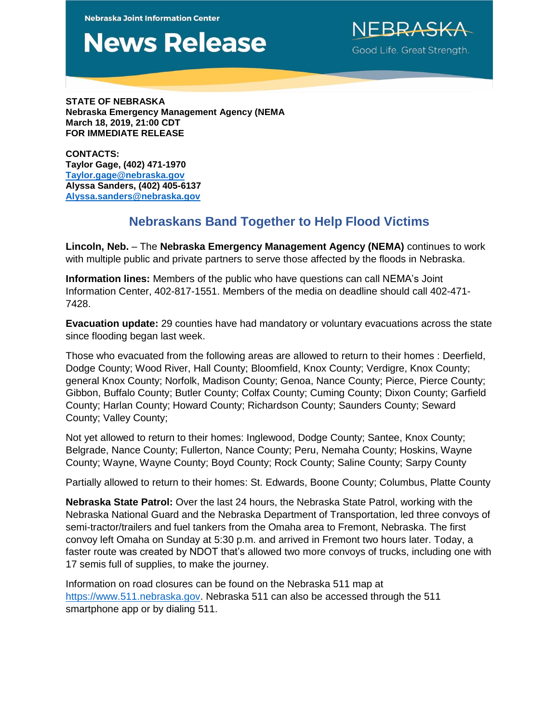**Nebraska Joint Information Center** 

## **News Release**

Good Life. Great Strength.

**STATE OF NEBRASKA Nebraska Emergency Management Agency (NEMA March 18, 2019, 21:00 CDT FOR IMMEDIATE RELEASE**

**CONTACTS: Taylor Gage, (402) 471-1970 [Taylor.gage@nebraska.gov](mailto:Taylor.gage@nebraska.gov) Alyssa Sanders, (402) 405-6137 [Alyssa.sanders@nebraska.gov](mailto:Alyssa.sanders@nebraska.gov)**

## **Nebraskans Band Together to Help Flood Victims**

**Lincoln, Neb.** – The **Nebraska Emergency Management Agency (NEMA)** continues to work with multiple public and private partners to serve those affected by the floods in Nebraska.

**Information lines:** Members of the public who have questions can call NEMA's Joint Information Center, 402-817-1551. Members of the media on deadline should call 402-471- 7428.

**Evacuation update:** 29 counties have had mandatory or voluntary evacuations across the state since flooding began last week.

Those who evacuated from the following areas are allowed to return to their homes : Deerfield, Dodge County; Wood River, Hall County; Bloomfield, Knox County; Verdigre, Knox County; general Knox County; Norfolk, Madison County; Genoa, Nance County; Pierce, Pierce County; Gibbon, Buffalo County; Butler County; Colfax County; Cuming County; Dixon County; Garfield County; Harlan County; Howard County; Richardson County; Saunders County; Seward County; Valley County;

Not yet allowed to return to their homes: Inglewood, Dodge County; Santee, Knox County; Belgrade, Nance County; Fullerton, Nance County; Peru, Nemaha County; Hoskins, Wayne County; Wayne, Wayne County; Boyd County; Rock County; Saline County; Sarpy County

Partially allowed to return to their homes: St. Edwards, Boone County; Columbus, Platte County

**Nebraska State Patrol:** Over the last 24 hours, the Nebraska State Patrol, working with the Nebraska National Guard and the Nebraska Department of Transportation, led three convoys of semi-tractor/trailers and fuel tankers from the Omaha area to Fremont, Nebraska. The first convoy left Omaha on Sunday at 5:30 p.m. and arrived in Fremont two hours later. Today, a faster route was created by NDOT that's allowed two more convoys of trucks, including one with 17 semis full of supplies, to make the journey.

Information on road closures can be found on the Nebraska 511 map at [https://www.511.nebraska.gov.](https://www.511.nebraska.gov/) Nebraska 511 can also be accessed through the 511 smartphone app or by dialing 511.